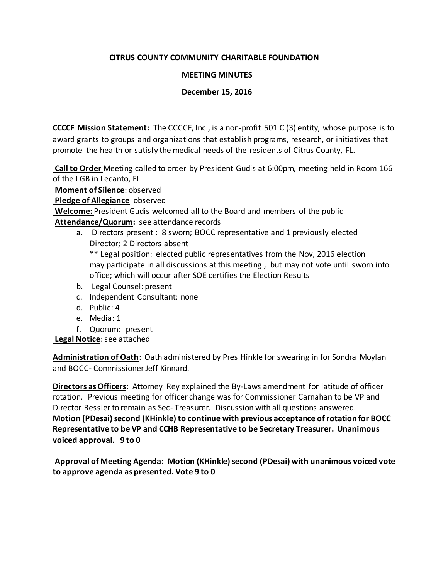#### **CITRUS COUNTY COMMUNITY CHARITABLE FOUNDATION**

#### **MEETING MINUTES**

#### **December 15, 2016**

**CCCCF Mission Statement:** The CCCCF, Inc., is a non-profit 501 C (3) entity, whose purpose is to award grants to groups and organizations that establish programs, research, or initiatives that promote the health or satisfy the medical needs of the residents of Citrus County, FL.

**Call to Order** Meeting called to order by President Gudis at 6:00pm, meeting held in Room 166 of the LGB in Lecanto, FL

**Moment of Silence**: observed

**Pledge of Allegiance** observed

**Welcome:** President Gudis welcomed all to the Board and members of the public

**Attendance/Quorum:** see attendance records

a. Directors present : 8 sworn; BOCC representative and 1 previously elected Director; 2 Directors absent

\*\* Legal position: elected public representatives from the Nov, 2016 election may participate in all discussions at this meeting , but may not vote until sworn into office; which will occur after SOE certifies the Election Results

- b. Legal Counsel: present
- c. Independent Consultant: none
- d. Public: 4
- e. Media: 1
- f. Quorum: present

**Legal Notice**: see attached

**Administration of Oath**: Oath administered by Pres Hinkle for swearing in for Sondra Moylan and BOCC- Commissioner Jeff Kinnard.

**Directors as Officers**: Attorney Rey explained the By-Laws amendment for latitude of officer rotation. Previous meeting for officer change was for Commissioner Carnahan to be VP and Director Ressler to remain as Sec- Treasurer. Discussion with all questions answered. **Motion (PDesai) second (KHinkle) to continue with previous acceptance of rotation for BOCC Representative to be VP and CCHB Representative to be Secretary Treasurer. Unanimous voiced approval. 9 to 0**

**Approval of Meeting Agenda: Motion (KHinkle) second (PDesai) with unanimous voiced vote to approve agenda as presented. Vote 9 to 0**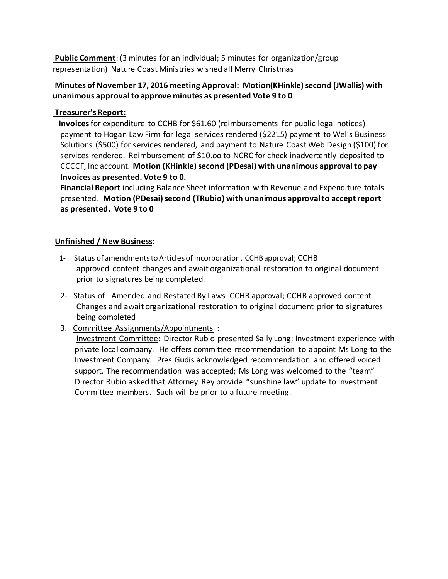**Public Comment**: (3 minutes for an individual; 5 minutes for organization/group representation) Nature Coast Ministries wished all Merry Christmas

# **Minutes of November 17, 2016 meeting Approval: Motion(KHinkle) second (JWallis) with unanimous approval to approve minutes as presented Vote 9 to 0**

# **Treasurer's Report:**

 **Invoices**for expenditure to CCHB for \$61.60 (reimbursements for public legal notices) payment to Hogan Law Firm for legal services rendered (\$2215) payment to Wells Business Solutions (\$500) for services rendered, and payment to Nature Coast Web Design (\$100) for services rendered. Reimbursement of \$10.oo to NCRC for check inadvertently deposited to CCCCF, Inc account. **Motion (KHinkle) second (PDesai) with unanimous approval to pay Invoices as presented. Vote 9 to 0.**

 **Financial Report** including Balance Sheet information with Revenue and Expenditure totals presented. **Motion (PDesai) second (TRubio) with unanimous approval to accept report as presented. Vote 9 to 0**

# **Unfinished / New Business**:

- 1- Status of amendments to Articles of Incorporation. CCHB approval; CCHB approved content changes and await organizational restoration to original document prior to signatures being completed.
- 2- Status of Amended and Restated By Laws CCHB approval; CCHB approved content Changes and await organizational restoration to original document prior to signatures being completed
- 3. Committee Assignments/Appointments :

 Investment Committee: Director Rubio presented Sally Long; Investment experience with private local company. He offers committee recommendation to appoint Ms Long to the Investment Company. Pres Gudis acknowledged recommendation and offered voiced support. The recommendation was accepted; Ms Long was welcomed to the "team" Director Rubio asked that Attorney Rey provide "sunshine law" update to Investment Committee members. Such will be prior to a future meeting.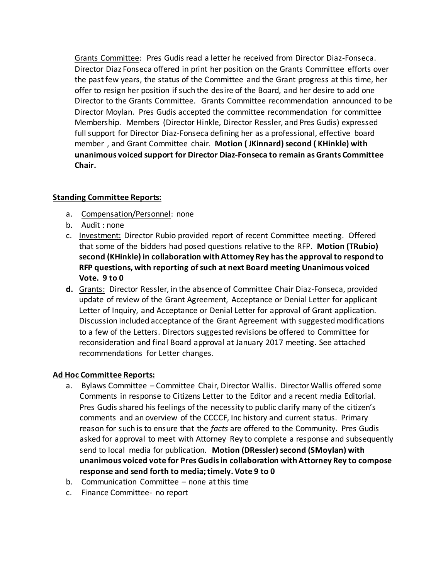Grants Committee: Pres Gudis read a letter he received from Director Diaz-Fonseca. Director Diaz Fonseca offered in print her position on the Grants Committee efforts over the past few years, the status of the Committee and the Grant progress at this time, her offer to resign her position if such the desire of the Board, and her desire to add one Director to the Grants Committee. Grants Committee recommendation announced to be Director Moylan. Pres Gudis accepted the committee recommendation for committee Membership. Members (Director Hinkle, Director Ressler, and Pres Gudis) expressed full support for Director Diaz-Fonseca defining her as a professional, effective board member , and Grant Committee chair. **Motion ( JKinnard) second ( KHinkle) with unanimous voiced support for Director Diaz-Fonseca to remain as Grants Committee Chair.**

# **Standing Committee Reports:**

- a. Compensation/Personnel: none
- b. Audit : none
- c. Investment: Director Rubio provided report of recent Committee meeting. Offered that some of the bidders had posed questions relative to the RFP. **Motion (TRubio) second (KHinkle) in collaboration with Attorney Rey has the approval to respond to RFP questions, with reporting of such at next Board meeting Unanimous voiced Vote. 9 to 0**
- **d.** Grants: Director Ressler, in the absence of Committee Chair Diaz-Fonseca, provided update of review of the Grant Agreement, Acceptance or Denial Letter for applicant Letter of Inquiry, and Acceptance or Denial Letter for approval of Grant application. Discussion included acceptance of the Grant Agreement with suggested modifications to a few of the Letters. Directors suggested revisions be offered to Committee for reconsideration and final Board approval at January 2017 meeting. See attached recommendations for Letter changes.

#### **Ad Hoc Committee Reports:**

- a. Bylaws Committee Committee Chair, Director Wallis. Director Wallis offered some Comments in response to Citizens Letter to the Editor and a recent media Editorial. Pres Gudis shared his feelings of the necessity to public clarify many of the citizen's comments and an overview of the CCCCF, Inc history and current status. Primary reason for such is to ensure that the *facts* are offered to the Community. Pres Gudis asked for approval to meet with Attorney Rey to complete a response and subsequently send to local media for publication. **Motion (DRessler) second (SMoylan) with unanimous voiced vote for Pres Gudis in collaboration with Attorney Rey to compose response and send forth to media; timely. Vote 9 to 0**
- b. Communication Committee none at this time
- c. Finance Committee- no report